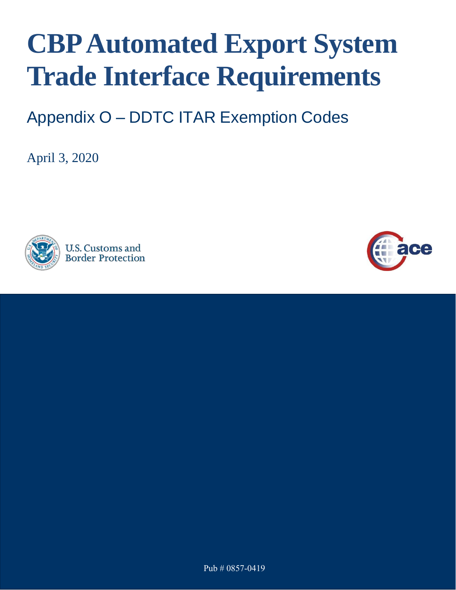# **CBPAutomated Export System Trade Interface Requirements**

Appendix O – DDTC ITAR Exemption Codes

April 3, 2020



**U.S. Customs and Border Protection** 

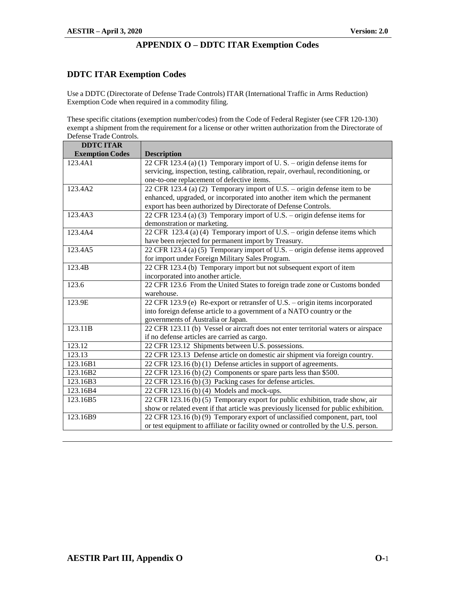#### **DDTC ITAR Exemption Codes**

Use a DDTC (Directorate of Defense Trade Controls) ITAR (International Traffic in Arms Reduction) Exemption Code when required in a commodity filing.

These specific citations (exemption number/codes) from the Code of Federal Register (see CFR 120-130) exempt a shipment from the requirement for a license or other written authorization from the Directorate of Defense Trade Controls.

| <b>DDTC ITAR</b>       |                                                                                      |
|------------------------|--------------------------------------------------------------------------------------|
| <b>Exemption Codes</b> | <b>Description</b>                                                                   |
| 123.4A1                | 22 CFR 123.4 (a) (1) Temporary import of U.S. - origin defense items for             |
|                        | servicing, inspection, testing, calibration, repair, overhaul, reconditioning, or    |
|                        | one-to-one replacement of defective items.                                           |
| 123.4A2                | 22 CFR 123.4 (a) (2) Temporary import of U.S. – origin defense item to be            |
|                        | enhanced, upgraded, or incorporated into another item which the permanent            |
|                        | export has been authorized by Directorate of Defense Controls.                       |
| 123.4A3                | 22 CFR 123.4 (a) (3) Temporary import of U.S. – origin defense items for             |
|                        | demonstration or marketing.                                                          |
| 123.4A4                | 22 CFR 123.4 (a) (4) Temporary import of U.S. – origin defense items which           |
|                        | have been rejected for permanent import by Treasury.                                 |
| 123.4A5                | 22 CFR 123.4 (a) (5) Temporary import of U.S. – origin defense items approved        |
|                        | for import under Foreign Military Sales Program.                                     |
| 123.4B                 | 22 CFR 123.4 (b) Temporary import but not subsequent export of item                  |
|                        | incorporated into another article.                                                   |
| 123.6                  | 22 CFR 123.6 From the United States to foreign trade zone or Customs bonded          |
|                        | warehouse.                                                                           |
| 123.9E                 | 22 CFR 123.9 (e) Re-export or retransfer of U.S. - origin items incorporated         |
|                        | into foreign defense article to a government of a NATO country or the                |
|                        | governments of Australia or Japan.                                                   |
| 123.11B                | 22 CFR 123.11 (b) Vessel or aircraft does not enter territorial waters or airspace   |
|                        | if no defense articles are carried as cargo.                                         |
| 123.12                 | 22 CFR 123.12 Shipments between U.S. possessions.                                    |
| 123.13                 | 22 CFR 123.13 Defense article on domestic air shipment via foreign country.          |
| 123.16B1               | 22 CFR 123.16 (b) (1) Defense articles in support of agreements.                     |
| 123.16B2               | 22 CFR 123.16 (b) (2) Components or spare parts less than \$500.                     |
| 123.16B3               | 22 CFR 123.16 (b) (3) Packing cases for defense articles.                            |
| 123.16B4               | 22 CFR 123.16 (b) (4) Models and mock-ups.                                           |
| 123.16B5               | 22 CFR 123.16 (b) (5) Temporary export for public exhibition, trade show, air        |
|                        | show or related event if that article was previously licensed for public exhibition. |
| 123.16B9               | 22 CFR 123.16 (b) (9) Temporary export of unclassified component, part, tool         |
|                        | or test equipment to affiliate or facility owned or controlled by the U.S. person.   |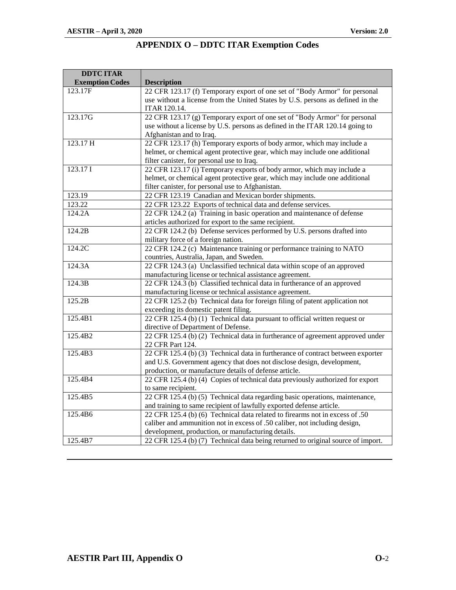| <b>DDTC ITAR</b>       |                                                                                  |
|------------------------|----------------------------------------------------------------------------------|
| <b>Exemption Codes</b> | <b>Description</b>                                                               |
| 123.17F                | 22 CFR 123.17 (f) Temporary export of one set of "Body Armor" for personal       |
|                        | use without a license from the United States by U.S. persons as defined in the   |
|                        | <b>ITAR 120.14.</b>                                                              |
| 123.17G                | 22 CFR 123.17 (g) Temporary export of one set of "Body Armor" for personal       |
|                        | use without a license by U.S. persons as defined in the ITAR 120.14 going to     |
|                        | Afghanistan and to Iraq.                                                         |
| 123.17 H               | 22 CFR 123.17 (h) Temporary exports of body armor, which may include a           |
|                        | helmet, or chemical agent protective gear, which may include one additional      |
|                        | filter canister, for personal use to Iraq.                                       |
| 123.17 I               | 22 CFR 123.17 (i) Temporary exports of body armor, which may include a           |
|                        | helmet, or chemical agent protective gear, which may include one additional      |
|                        | filter canister, for personal use to Afghanistan.                                |
| 123.19                 | 22 CFR 123.19 Canadian and Mexican border shipments.                             |
| 123.22                 | 22 CFR 123.22 Exports of technical data and defense services.                    |
| 124.2A                 | 22 CFR 124.2 (a) Training in basic operation and maintenance of defense          |
|                        | articles authorized for export to the same recipient.                            |
| 124.2B                 | 22 CFR 124.2 (b) Defense services performed by U.S. persons drafted into         |
|                        | military force of a foreign nation.                                              |
| 124.2C                 | 22 CFR 124.2 (c) Maintenance training or performance training to NATO            |
|                        | countries, Australia, Japan, and Sweden.                                         |
| 124.3A                 | 22 CFR 124.3 (a) Unclassified technical data within scope of an approved         |
|                        | manufacturing license or technical assistance agreement.                         |
| 124.3B                 | 22 CFR 124.3 (b) Classified technical data in furtherance of an approved         |
|                        | manufacturing license or technical assistance agreement.                         |
| 125.2B                 | 22 CFR 125.2 (b) Technical data for foreign filing of patent application not     |
|                        | exceeding its domestic patent filing.                                            |
| 125.4B1                | 22 CFR 125.4 (b) (1) Technical data pursuant to official written request or      |
|                        | directive of Department of Defense.                                              |
| 125.4B2                | 22 CFR 125.4 (b) (2) Technical data in furtherance of agreement approved under   |
|                        | 22 CFR Part 124.                                                                 |
| 125.4B3                | 22 CFR 125.4 (b) (3) Technical data in furtherance of contract between exporter  |
|                        | and U.S. Government agency that does not disclose design, development,           |
|                        | production, or manufacture details of defense article.                           |
| 125.4B4                | 22 CFR 125.4 (b) (4) Copies of technical data previously authorized for export   |
|                        | to same recipient.                                                               |
| 125.4B5                | 22 CFR 125.4 (b) (5) Technical data regarding basic operations, maintenance,     |
|                        | and training to same recipient of lawfully exported defense article.             |
| 125.4B6                | 22 CFR 125.4 (b) (6) Technical data related to firearms not in excess of .50     |
|                        | caliber and ammunition not in excess of .50 caliber, not including design,       |
|                        | development, production, or manufacturing details.                               |
| 125.4B7                | 22 CFR 125.4 (b) (7) Technical data being returned to original source of import. |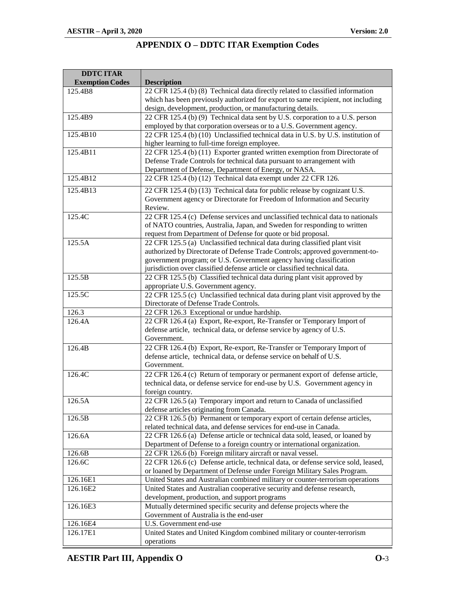| <b>DDTC ITAR</b>       |                                                                                              |
|------------------------|----------------------------------------------------------------------------------------------|
| <b>Exemption Codes</b> | <b>Description</b>                                                                           |
| 125.4B8                | 22 CFR 125.4 (b) (8) Technical data directly related to classified information               |
|                        | which has been previously authorized for export to same recipient, not including             |
|                        | design, development, production, or manufacturing details.                                   |
| 125.4B9                | 22 CFR 125.4 (b) (9) Technical data sent by U.S. corporation to a U.S. person                |
|                        | employed by that corporation overseas or to a U.S. Government agency.                        |
| 125.4B10               | 22 CFR 125.4 (b) (10) Unclassified technical data in U.S. by U.S. institution of             |
|                        | higher learning to full-time foreign employee.                                               |
| 125.4B11               | 22 CFR 125.4 (b) (11) Exporter granted written exemption from Directorate of                 |
|                        | Defense Trade Controls for technical data pursuant to arrangement with                       |
|                        | Department of Defense, Department of Energy, or NASA.                                        |
| 125.4B12               | 22 CFR 125.4 (b) (12) Technical data exempt under 22 CFR 126.                                |
|                        |                                                                                              |
| 125.4B13               | 22 CFR 125.4 (b) (13) Technical data for public release by cognizant U.S.                    |
|                        | Government agency or Directorate for Freedom of Information and Security                     |
|                        | Review.                                                                                      |
| 125.4C                 | 22 CFR 125. $\overline{4}$ (c) Defense services and unclassified technical data to nationals |
|                        | of NATO countries, Australia, Japan, and Sweden for responding to written                    |
|                        | request from Department of Defense for quote or bid proposal.                                |
| 125.5A                 | 22 CFR 125.5 (a) Unclassified technical data during classified plant visit                   |
|                        | authorized by Directorate of Defense Trade Controls; approved government-to-                 |
|                        | government program; or U.S. Government agency having classification                          |
|                        | jurisdiction over classified defense article or classified technical data.                   |
| 125.5B                 | 22 CFR 125.5 (b) Classified technical data during plant visit approved by                    |
|                        | appropriate U.S. Government agency.                                                          |
| 125.5C                 | 22 CFR 125.5 (c) Unclassified technical data during plant visit approved by the              |
|                        | Directorate of Defense Trade Controls.                                                       |
| 126.3                  | 22 CFR 126.3 Exceptional or undue hardship.                                                  |
| 126.4A                 | 22 CFR 126.4 (a) Export, Re-export, Re-Transfer or Temporary Import of                       |
|                        | defense article, technical data, or defense service by agency of U.S.                        |
|                        | Government.                                                                                  |
| 126.4B                 | 22 CFR 126.4 (b) Export, Re-export, Re-Transfer or Temporary Import of                       |
|                        | defense article, technical data, or defense service on behalf of U.S.                        |
|                        | Government.                                                                                  |
| 126.4C                 | 22 CFR 126.4 (c) Return of temporary or permanent export of defense article,                 |
|                        | technical data, or defense service for end-use by U.S. Government agency in                  |
|                        | foreign country.                                                                             |
| 126.5A                 | 22 CFR 126.5 (a) Temporary import and return to Canada of unclassified                       |
|                        | defense articles originating from Canada.                                                    |
| 126.5B                 | 22 CFR 126.5 (b) Permanent or temporary export of certain defense articles,                  |
|                        | related technical data, and defense services for end-use in Canada.                          |
| 126.6A                 | 22 CFR 126.6 (a) Defense article or technical data sold, leased, or loaned by                |
|                        | Department of Defense to a foreign country or international organization.                    |
| 126.6B                 | 22 CFR 126.6 (b) Foreign military aircraft or naval vessel.                                  |
| 126.6C                 | 22 CFR 126.6 (c) Defense article, technical data, or defense service sold, leased,           |
|                        |                                                                                              |
| 126.16E1               | or loaned by Department of Defense under Foreign Military Sales Program.                     |
|                        | United States and Australian combined military or counter-terrorism operations               |
| 126.16E2               | United States and Australian cooperative security and defense research,                      |
|                        | development, production, and support programs                                                |
| 126.16E3               | Mutually determined specific security and defense projects where the                         |
|                        | Government of Australia is the end-user                                                      |
| 126.16E4               | U.S. Government end-use                                                                      |
| 126.17E1               | United States and United Kingdom combined military or counter-terrorism                      |
|                        | operations                                                                                   |